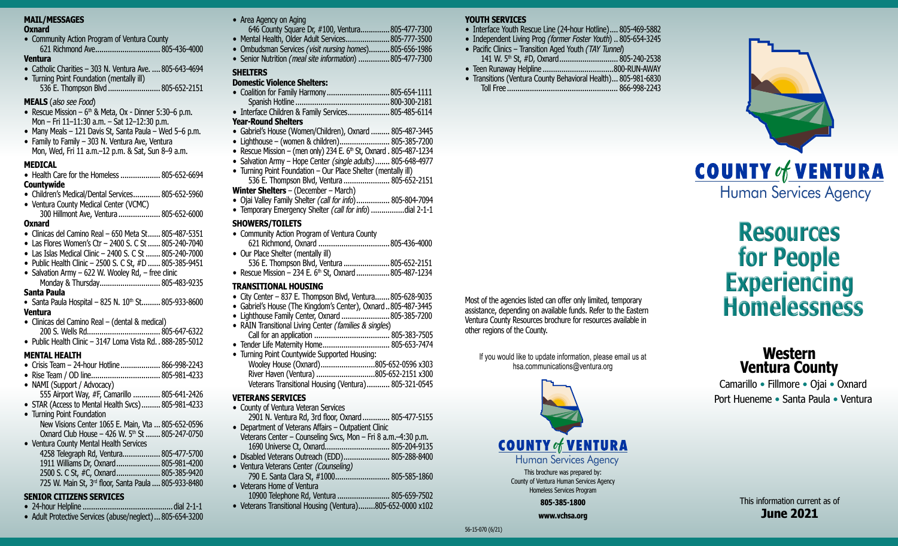## **MAIL/MESSAGES**

#### **Oxnard**

• Community Action Program of Ventura County 621 Richmond Ave............................... 805-436-4000

# **Ventura**

- Catholic Charities 303 N. Ventura Ave. .... 805-643-4694
- Turning Point Foundation (mentally ill) 536 E. Thompson Blvd ......................... 805-652-2151

#### **MEALS** (also see Food)

- Rescue Mission  $6<sup>th</sup>$  & Meta, Ox Dinner 5:30–6 p.m. Mon – Fri 11–11:30 a.m. – Sat 12–12:30 p.m.
- Many Meals 121 Davis St, Santa Paula Wed 5–6 p.m.
- Family to Family 303 N. Ventura Ave, Ventura Mon, Wed, Fri 11 a.m.–12 p.m. & Sat, Sun 8–9 a.m.

# **MEDICAL**

- Health Care for the Homeless ..................... 805-652-6694 **Countywide**
- Children's Medical/Dental Services............. 805-652-5960
- Ventura County Medical Center (VCMC)
- 300 Hillmont Ave, Ventura .................... 805-652-6000 **Oxnard**
- Clinicas del Camino Real 650 Meta St...... 805-487-5351
- Las Flores Women's Ctr 2400 S. C St ...... 805-240-7040
- Las Islas Medical Clinic 2400 S. C St ....... 805-240-7000
- Public Health Clinic 2500 S. C St, #D ...... 805-385-9451
- Salvation Army 622 W. Wooley Rd, free clinic Monday & Thursday............................. 805-483-9235

# **Santa Paula**

- Santa Paula Hospital 825 N.  $10^{th}$  St......... 805-933-8600 **Ventura**
- Clinicas del Camino Real (dental & medical)
- 200 S. Wells Rd................................... 805-647-6322 • Public Health Clinic – 3147 Loma Vista Rd. . 888-285-5012

# **MENTAL HEALTH**

- Crisis Team 24-hour Hotline................... 866-998-2243
- Rise Team / OD line................................. 805-981-4233
- NAMI (Support / Advocacy) 555 Airport Way, #F, Camarillo ............. 805-641-2426
- STAR (Access to Mental Health Svcs)......... 805-981-4233
- Turning Point Foundation New Visions Center 1065 E. Main, Vta ... 805-652-0596 Oxnard Club House – 426 W. 5<sup>th</sup> St ....... 805-247-0750
- Ventura County Mental Health Services
- 4258 Telegraph Rd, Ventura.................. 805-477-5700 1911 Williams Dr, Oxnard..................... 805-981-4200 2500 S. C St, #C, Oxnard..................... 805-385-9420 725 W. Main St, 3rd floor, Santa Paula .... 805-933-8480

# **SENIOR CITIZENS SERVICES**

- 24-hour Helpline ........................................... dial 2-1-1
- Adult Protective Services (abuse/neglect)... 805-654-3200

# • Area Agency on Aging

- 646 County Square Dr, #100, Ventura..............805-477-7300 • Mental Health, Older Adult Services....................... 805-777-3500
- Ombudsman Services *(*visit nursing homes)..........805-656-1986
- Senior Nutrition *(*meal site information) ...............805-477-7300

# **SHELTERS**

# **Domestic Violence Shelters:**

| • Interface Children & Family Services 805-485-6114 |
|-----------------------------------------------------|

## **Year-Round Shelters**

- Gabriel's House (Women/Children), Oxnard ......... 805-487-3445
- Lighthouse (women & children)........................ 805-385-7200
- Rescue Mission (men only) 234 E.  $6<sup>th</sup>$  St, Oxnard . 805-487-1234
- Salvation Army Hope Center (single adults)....... 805-648-4977
- Turning Point Foundation Our Place Shelter (mentally ill)
- 536 E. Thompson Blvd, Ventura ...................... 805-652-2151

# **Winter Shelters** – (December – March)

- Ojai Valley Family Shelter *(*call for info)................ 805-804-7094
- Temporary Emergency Shelter *(*call for info) ................dial 2-1-1

# **SHOWERS/TOILETS**

- Community Action Program of Ventura County 621 Richmond, Oxnard ..................................805-436-4000
- Our Place Shelter (mentally ill) 536 E. Thompson Blvd, Ventura ......................805-652-2151 • Rescue Mission – 234 E.  $6<sup>th</sup>$  St, Oxnard................. 805-487-1234

# **TRANSITIONAL HOUSING**

- City Center 837 E. Thompson Blvd, Ventura.......805-628-9035
- Gabriel's House (The Kingdom's Center), Oxnard..805-487-3445
- Lighthouse Family Center, Oxnard .......................805-385-7200
- RAIN Transitional Living Center *(*families & singles) Call for an application .................................... 805-383-7505
- Tender Life Maternity Home................................... 805-653-7474
- Turning Point Countywide Supported Housing:

| Wooley House (Oxnard)805-652-0596 x303               |
|------------------------------------------------------|
| River Haven (Ventura) 805-652-2151 x300              |
| Veterans Transitional Housing (Ventura) 805-321-0545 |

# **VETERANS SERVICES**

- County of Ventura Veteran Services
- 2901 N. Ventura Rd, 3rd floor, Oxnard............. 805-477-5155 • Department of Veterans Affairs – Outpatient Clinic
- Veterans Center Counseling Svcs, Mon Fri 8 a.m.–4:30 p.m. 1690 Universe Ct, Oxnard............................... 805-204-9135
- Disabled Veterans Outreach (EDD)...................... 805-288-8400
- Ventura Veterans Center *(Counseling)* 790 E. Santa Clara St, #1000.......................... 805-585-1860
- Veterans Home of Ventura 10900 Telephone Rd, Ventura ......................... 805-659-7502
- Veterans Transitional Housing (Ventura)........805-652-0000 x102

# **YOUTH SERVICES**

- Interface Youth Rescue Line (24-hour Hotline).... 805-469-5882
- Independent Living Prog *(*former Foster Youth) .. 805-654-3245
- Pacific Clinics Transition Aged Youth *(*TAY Tunnel) 141 W. 5<sup>th</sup> St, #D, Oxnard............................... 805-240-2538
- Teen Runaway Helpline ..................................800-RUN-AWAY
- Transitions (Ventura County Behavioral Health)... 805-981-6830 Toll Free ..................................................... 866-998-2243

This brochure was prepared by: County of Ventura Human Services Agency Homeless Services Program **805-385-1800 www.vchsa.org**

**COUNTY of VENTURA** 

Human Services Agency

Most of the agencies listed can offer only limited, temporary assistance, depending on available funds. Refer to the Eastern Ventura County Resources brochure for resources available in

If you would like to update information, please email us at hsa.communications@ventura.org

other regions of the County.



# **Resources for People Experiencing Homelessness**

# **Western Ventura County**

Camarillo • Fillmore • Ojai • Oxnard Port Hueneme • Santa Paula • Ventura